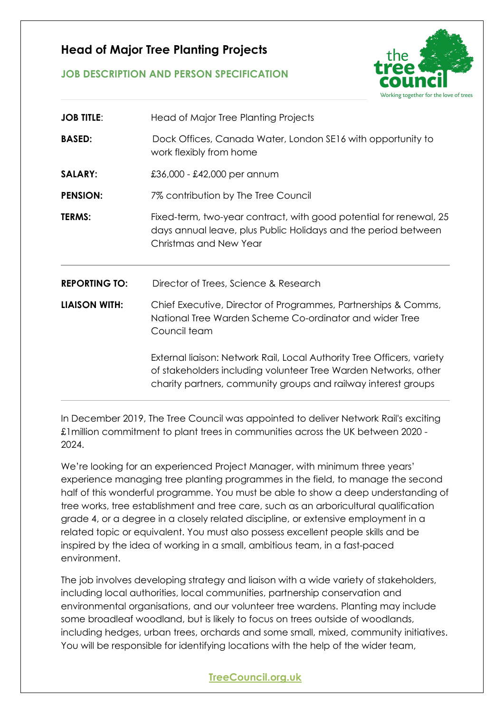## **Head of Major Tree Planting Projects**

# Working together for the love of trees

## **JOB DESCRIPTION AND PERSON SPECIFICATION**

| <b>JOB TITLE:</b>    | Head of Major Tree Planting Projects                                                                                                                                                                        |
|----------------------|-------------------------------------------------------------------------------------------------------------------------------------------------------------------------------------------------------------|
| <b>BASED:</b>        | Dock Offices, Canada Water, London SE16 with opportunity to<br>work flexibly from home                                                                                                                      |
| <b>SALARY:</b>       | £36,000 - £42,000 per annum                                                                                                                                                                                 |
| <b>PENSION:</b>      | 7% contribution by The Tree Council                                                                                                                                                                         |
| <b>TERMS:</b>        | Fixed-term, two-year contract, with good potential for renewal, 25<br>days annual leave, plus Public Holidays and the period between<br>Christmas and New Year                                              |
| <b>REPORTING TO:</b> | Director of Trees, Science & Research                                                                                                                                                                       |
| <b>LIAISON WITH:</b> | Chief Executive, Director of Programmes, Partnerships & Comms,<br>National Tree Warden Scheme Co-ordinator and wider Tree<br>Council team                                                                   |
|                      | External liaison: Network Rail, Local Authority Tree Officers, variety<br>of stakeholders including volunteer Tree Warden Networks, other<br>charity partners, community groups and railway interest groups |

In December 2019, The Tree Council was appointed to deliver Network Rail's exciting £1million commitment to plant trees in communities across the UK between 2020 - 2024.

We're looking for an experienced Project Manager, with minimum three years' experience managing tree planting programmes in the field, to manage the second half of this wonderful programme. You must be able to show a deep understanding of tree works, tree establishment and tree care, such as an arboricultural qualification grade 4, or a degree in a closely related discipline, or extensive employment in a related topic or equivalent. You must also possess excellent people skills and be inspired by the idea of working in a small, ambitious team, in a fast-paced environment.

The job involves developing strategy and liaison with a wide variety of stakeholders, including local authorities, local communities, partnership conservation and environmental organisations, and our volunteer tree wardens. Planting may include some broadleaf woodland, but is likely to focus on trees outside of woodlands, including hedges, urban trees, orchards and some small, mixed, community initiatives. You will be responsible for identifying locations with the help of the wider team,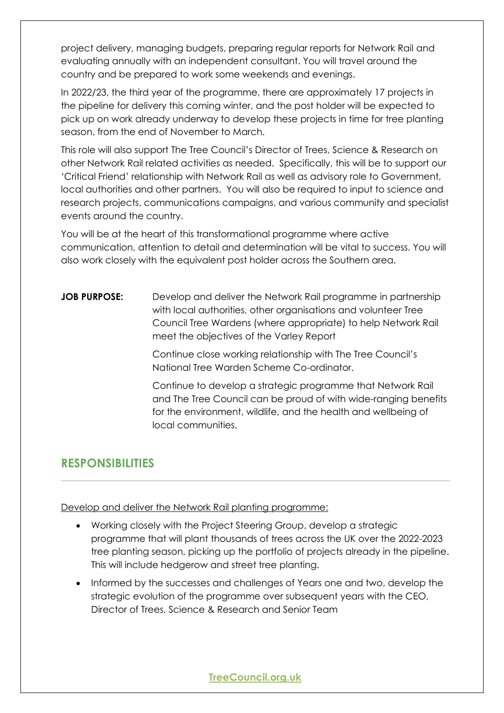project delivery, managing budgets, preparing regular reports for Network Rail and evaluating annually with an independent consultant. You will travel around the country and be prepared to work some weekends and evenings.

In 2022/23, the third year of the programme, there are approximately 17 projects in the pipeline for delivery this coming winter, and the post holder will be expected to pick up on work already underway to develop these projects in time for tree planting season, from the end of November to March.

This role will also support The Tree Council's Director of Trees, Science & Research on other Network Rail related activities as needed. Specifically, this will be to support our 'Critical Friend' relationship with Network Rail as well as advisory role to Government, local authorities and other partners. You will also be required to input to science and research projects, communications campaigns, and various community and specialist events around the country.

You will be at the heart of this transformational programme where active communication, attention to detail and determination will be vital to success. You will also work closely with the equivalent post holder across the Southern area.

## **JOB PURPOSE:** Develop and deliver the Network Rail programme in partnership with local authorities, other organisations and volunteer Tree Council Tree Wardens (where appropriate) to help Network Rail meet the objectives of the Varley Report

Continue close working relationship with The Tree Council's National Tree Warden Scheme Co-ordinator.

Continue to develop a strategic programme that Network Rail and The Tree Council can be proud of with wide-ranging benefits for the environment, wildlife, and the health and wellbeing of local communities.

# **RESPONSIBILITIES**

Develop and deliver the Network Rail planting programme:

- Working closely with the Project Steering Group, develop a strategic programme that will plant thousands of trees across the UK over the 2022-2023 tree planting season, picking up the portfolio of projects already in the pipeline. This will include hedgerow and street tree planting.
- Informed by the successes and challenges of Years one and two, develop the strategic evolution of the programme over subsequent years with the CEO, Director of Trees, Science & Research and Senior Team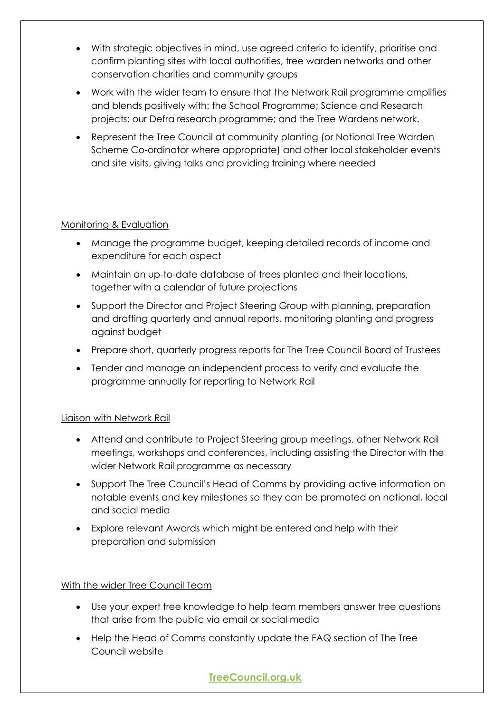- With strategic objectives in mind, use agreed criteria to identify, prioritise and confirm planting sites with local authorities, tree warden networks and other conservation charities and community groups
- Work with the wider team to ensure that the Network Rail programme amplifies and blends positively with: the School Programme; Science and Research projects; our Defra research programme; and the Tree Wardens network.
- Represent the Tree Council at community planting (or National Tree Warden Scheme Co-ordinator where appropriate) and other local stakeholder events and site visits, giving talks and providing training where needed

## Monitoring & Evaluation

- Manage the programme budget, keeping detailed records of income and expenditure for each aspect
- Maintain an up-to-date database of trees planted and their locations, together with a calendar of future projections
- Support the Director and Project Steering Group with planning, preparation and drafting quarterly and annual reports, monitoring planting and progress against budget
- Prepare short, quarterly progress reports for The Tree Council Board of Trustees
- Tender and manage an independent process to verify and evaluate the programme annually for reporting to Network Rail

## Liaison with Network Rail

- Attend and contribute to Project Steering group meetings, other Network Rail meetings, workshops and conferences, including assisting the Director with the wider Network Rail programme as necessary
- Support The Tree Council's Head of Comms by providing active information on notable events and key milestones so they can be promoted on national, local and social media
- Explore relevant Awards which might be entered and help with their preparation and submission

## With the wider Tree Council Team

- Use your expert tree knowledge to help team members answer tree questions that arise from the public via email or social media
- Help the Head of Comms constantly update the FAQ section of The Tree Council website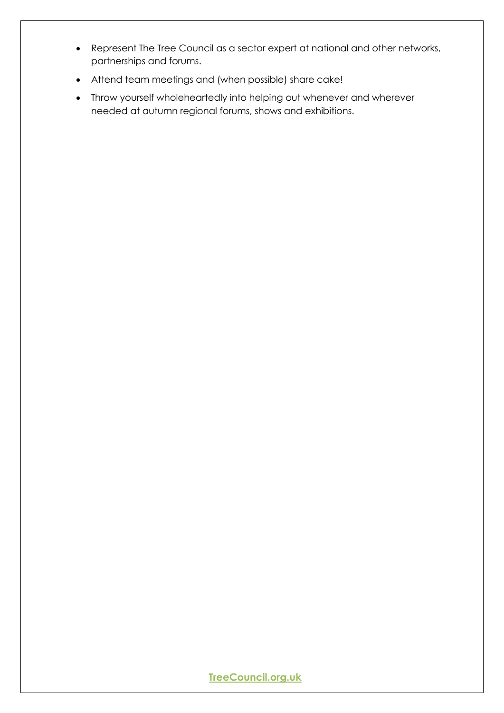- Represent The Tree Council as a sector expert at national and other networks, partnerships and forums.
- Attend team meetings and (when possible) share cake!
- Throw yourself wholeheartedly into helping out whenever and wherever needed at autumn regional forums, shows and exhibitions.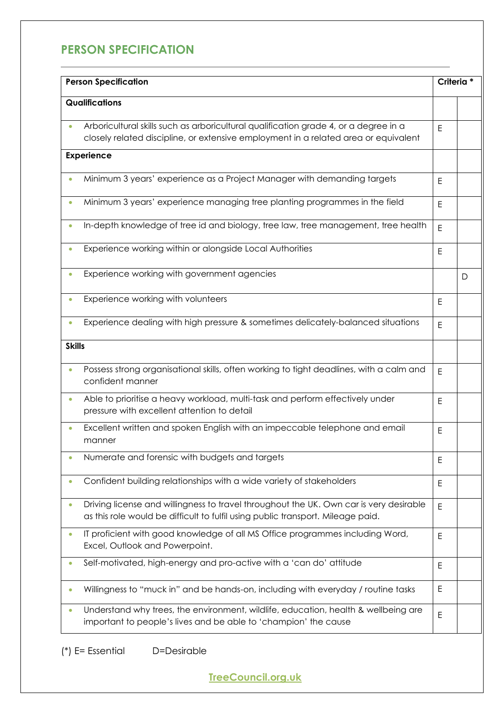# **PERSON SPECIFICATION**

| <b>Person Specification</b><br>Qualifications |                                                                                                                                                                             |   | Criteria * |  |
|-----------------------------------------------|-----------------------------------------------------------------------------------------------------------------------------------------------------------------------------|---|------------|--|
|                                               |                                                                                                                                                                             |   |            |  |
|                                               | Arboricultural skills such as arboricultural qualification grade 4, or a degree in a<br>closely related discipline, or extensive employment in a related area or equivalent | E |            |  |
|                                               | <b>Experience</b>                                                                                                                                                           |   |            |  |
|                                               | Minimum 3 years' experience as a Project Manager with demanding targets                                                                                                     | E |            |  |
| $\bullet$                                     | Minimum 3 years' experience managing tree planting programmes in the field                                                                                                  | E |            |  |
|                                               | In-depth knowledge of tree id and biology, tree law, tree management, tree health                                                                                           | E |            |  |
|                                               | Experience working within or alongside Local Authorities                                                                                                                    | E |            |  |
|                                               | Experience working with government agencies                                                                                                                                 |   | D          |  |
|                                               | Experience working with volunteers                                                                                                                                          | E |            |  |
|                                               | Experience dealing with high pressure & sometimes delicately-balanced situations                                                                                            | E |            |  |
| <b>Skills</b>                                 |                                                                                                                                                                             |   |            |  |
| $\bullet$                                     | Possess strong organisational skills, often working to tight deadlines, with a calm and<br>confident manner                                                                 | E |            |  |
| $\bullet$                                     | Able to prioritise a heavy workload, multi-task and perform effectively under<br>pressure with excellent attention to detail                                                | E |            |  |
| $\bullet$                                     | Excellent written and spoken English with an impeccable telephone and email<br>manner                                                                                       | E |            |  |
|                                               | Numerate and forensic with budgets and targets                                                                                                                              | E |            |  |
|                                               | Confident building relationships with a wide variety of stakeholders                                                                                                        | E |            |  |
| $\bullet$                                     | Driving license and willingness to travel throughout the UK. Own car is very desirable<br>as this role would be difficult to fulfil using public transport. Mileage paid.   | E |            |  |
| $\bullet$                                     | IT proficient with good knowledge of all MS Office programmes including Word,<br>Excel, Outlook and Powerpoint.                                                             | E |            |  |
| $\bullet$                                     | Self-motivated, high-energy and pro-active with a 'can do' attitude                                                                                                         | Ε |            |  |
|                                               | Willingness to "muck in" and be hands-on, including with everyday / routine tasks                                                                                           | E |            |  |
|                                               | Understand why trees, the environment, wildlife, education, health & wellbeing are<br>important to people's lives and be able to 'champion' the cause                       | E |            |  |

(\*) E= Essential D=Desirable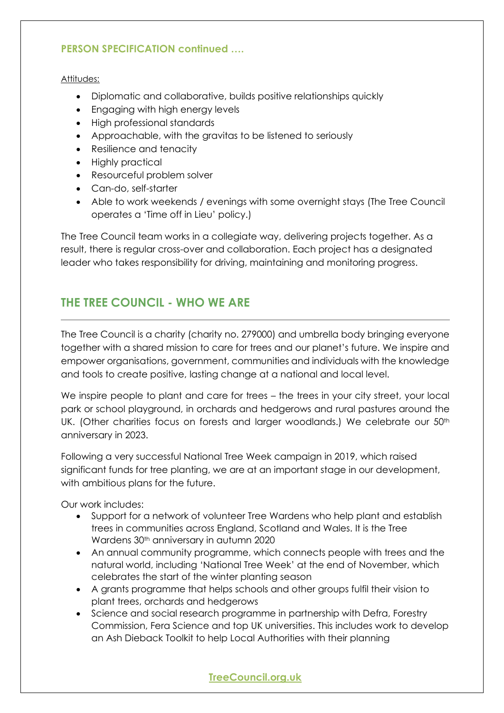## **PERSON SPECIFICATION continued ….**

Attitudes:

- Diplomatic and collaborative, builds positive relationships quickly
- Engaging with high energy levels
- High professional standards
- Approachable, with the gravitas to be listened to seriously
- Resilience and tenacity
- Highly practical
- Resourceful problem solver
- Can-do, self-starter
- Able to work weekends / evenings with some overnight stays (The Tree Council operates a 'Time off in Lieu' policy.)

The Tree Council team works in a collegiate way, delivering projects together. As a result, there is regular cross-over and collaboration. Each project has a designated leader who takes responsibility for driving, maintaining and monitoring progress.

## **THE TREE COUNCIL - WHO WE ARE**

The Tree Council is a charity (charity no. 279000) and umbrella body bringing everyone together with a shared mission to care for trees and our planet's future. We inspire and empower organisations, government, communities and individuals with the knowledge and tools to create positive, lasting change at a national and local level.

We inspire people to plant and care for trees – the trees in your city street, your local park or school playground, in orchards and hedgerows and rural pastures around the UK. (Other charities focus on forests and larger woodlands.) We celebrate our 50<sup>th</sup> anniversary in 2023.

Following a very successful National Tree Week campaign in 2019, which raised significant funds for tree planting, we are at an important stage in our development, with ambitious plans for the future.

Our work includes:

- Support for a network of volunteer Tree Wardens who help plant and establish trees in communities across England, Scotland and Wales. It is the Tree Wardens 30<sup>th</sup> anniversary in autumn 2020
- An annual community programme, which connects people with trees and the natural world, including 'National Tree Week' at the end of November, which celebrates the start of the winter planting season
- A grants programme that helps schools and other groups fulfil their vision to plant trees, orchards and hedgerows
- Science and social research programme in partnership with Defra, Forestry Commission, Fera Science and top UK universities. This includes work to develop an Ash Dieback Toolkit to help Local Authorities with their planning